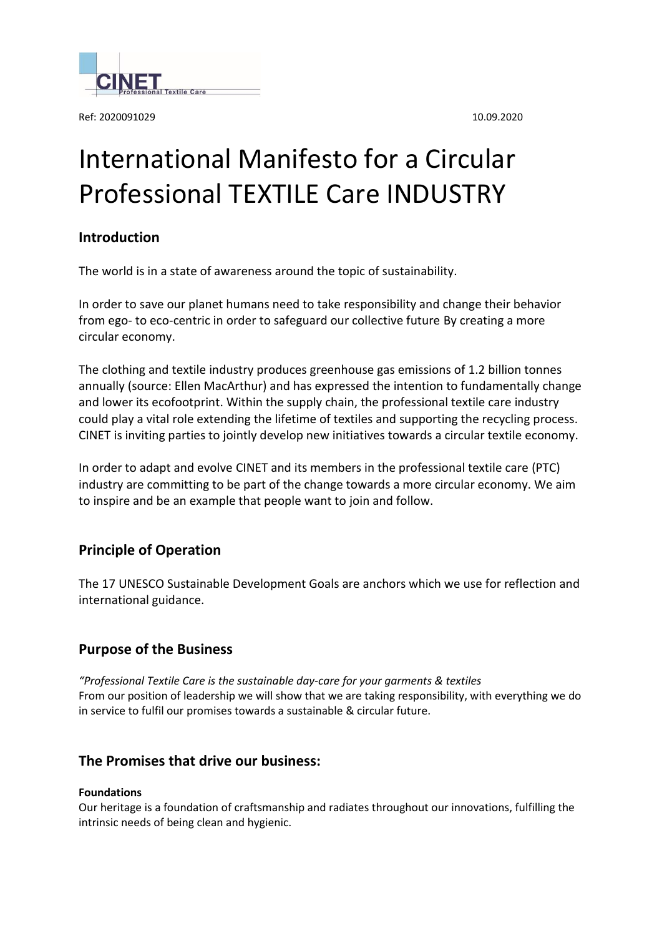

Ref: 2020091029 10.09.2020 10.09.2020 10.09.2020 10.09.2020 10.09.2020

# International Manifesto for a Circular Professional TEXTILE Care INDUSTRY

# **Introduction**

The world is in a state of awareness around the topic of sustainability.

In order to save our planet humans need to take responsibility and change their behavior from ego- to eco-centric in order to safeguard our collective future By creating a more circular economy.

The clothing and textile industry produces greenhouse gas emissions of 1.2 billion tonnes annually (source: Ellen MacArthur) and has expressed the intention to fundamentally change and lower its ecofootprint. Within the supply chain, the professional textile care industry could play a vital role extending the lifetime of textiles and supporting the recycling process. CINET is inviting parties to jointly develop new initiatives towards a circular textile economy.

In order to adapt and evolve CINET and its members in the professional textile care (PTC) industry are committing to be part of the change towards a more circular economy. We aim to inspire and be an example that people want to join and follow.

# **Principle of Operation**

The 17 UNESCO Sustainable Development Goals are anchors which we use for reflection and international guidance.

# **Purpose of the Business**

*"Professional Textile Care is the sustainable day-care for your garments & textiles* From our position of leadership we will show that we are taking responsibility, with everything we do in service to fulfil our promises towards a sustainable & circular future.

# **The Promises that drive our business:**

#### **Foundations**

Our heritage is a foundation of craftsmanship and radiates throughout our innovations, fulfilling the intrinsic needs of being clean and hygienic.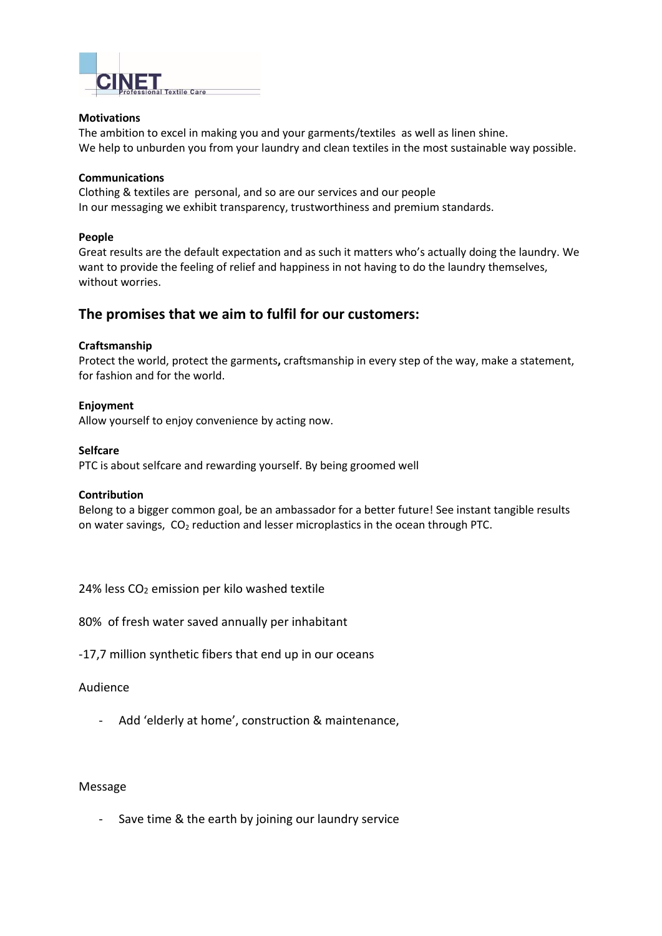

#### **Motivations**

The ambition to excel in making you and your garments/textiles as well as linen shine. We help to unburden you from your laundry and clean textiles in the most sustainable way possible.

### **Communications**

Clothing & textiles are personal, and so are our services and our people In our messaging we exhibit transparency, trustworthiness and premium standards.

#### **People**

Great results are the default expectation and as such it matters who's actually doing the laundry. We want to provide the feeling of relief and happiness in not having to do the laundry themselves, without worries.

# **The promises that we aim to fulfil for our customers:**

### **Craftsmanship**

Protect the world, protect the garments**,** craftsmanship in every step of the way, make a statement, for fashion and for the world.

### **Enjoyment**

Allow yourself to enjoy convenience by acting now.

### **Selfcare**

PTC is about selfcare and rewarding yourself. By being groomed well

#### **Contribution**

Belong to a bigger common goal, be an ambassador for a better future! See instant tangible results on water savings,  $CO<sub>2</sub>$  reduction and lesser microplastics in the ocean through PTC.

24% less CO<sub>2</sub> emission per kilo washed textile

80% of fresh water saved annually per inhabitant

-17,7 million synthetic fibers that end up in our oceans

## Audience

- Add 'elderly at home', construction & maintenance,

#### Message

- Save time & the earth by joining our laundry service